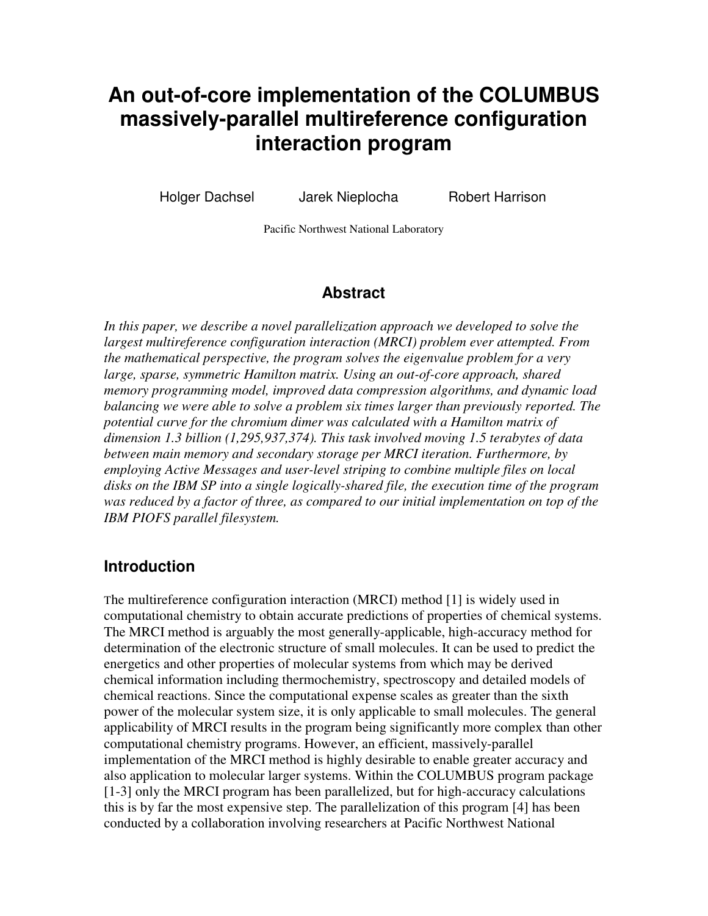# **An out-of-core implementation of the COLUMBUS massively-parallel multireference configuration interaction program**

Holger Dachsel Jarek Nieplocha Robert Harrison

Pacific Northwest National Laboratory

### **Abstract**

*In this paper, we describe a novel parallelization approach we developed to solve the largest multireference configuration interaction (MRCI) problem ever attempted. From the mathematical perspective, the program solves the eigenvalue problem for a very large, sparse, symmetric Hamilton matrix. Using an out-of-core approach, shared memory programming model, improved data compression algorithms, and dynamic load balancing we were able to solve a problem six times larger than previously reported. The potential curve for the chromium dimer was calculated with a Hamilton matrix of dimension 1.3 billion (1,295,937,374). This task involved moving 1.5 terabytes of data between main memory and secondary storage per MRCI iteration. Furthermore, by employing Active Messages and user-level striping to combine multiple files on local disks on the IBM SP into a single logically-shared file, the execution time of the program was reduced by a factor of three, as compared to our initial implementation on top of the IBM PIOFS parallel filesystem.*

### **Introduction**

The multireference configuration interaction (MRCI) method [1] is widely used in computational chemistry to obtain accurate predictions of properties of chemical systems. The MRCI method is arguably the most generally-applicable, high-accuracy method for determination of the electronic structure of small molecules. It can be used to predict the energetics and other properties of molecular systems from which may be derived chemical information including thermochemistry, spectroscopy and detailed models of chemical reactions. Since the computational expense scales as greater than the sixth power of the molecular system size, it is only applicable to small molecules. The general applicability of MRCI results in the program being significantly more complex than other computational chemistry programs. However, an efficient, massively-parallel implementation of the MRCI method is highly desirable to enable greater accuracy and also application to molecular larger systems. Within the COLUMBUS program package [1-3] only the MRCI program has been parallelized, but for high-accuracy calculations this is by far the most expensive step. The parallelization of this program [4] has been conducted by a collaboration involving researchers at Pacific Northwest National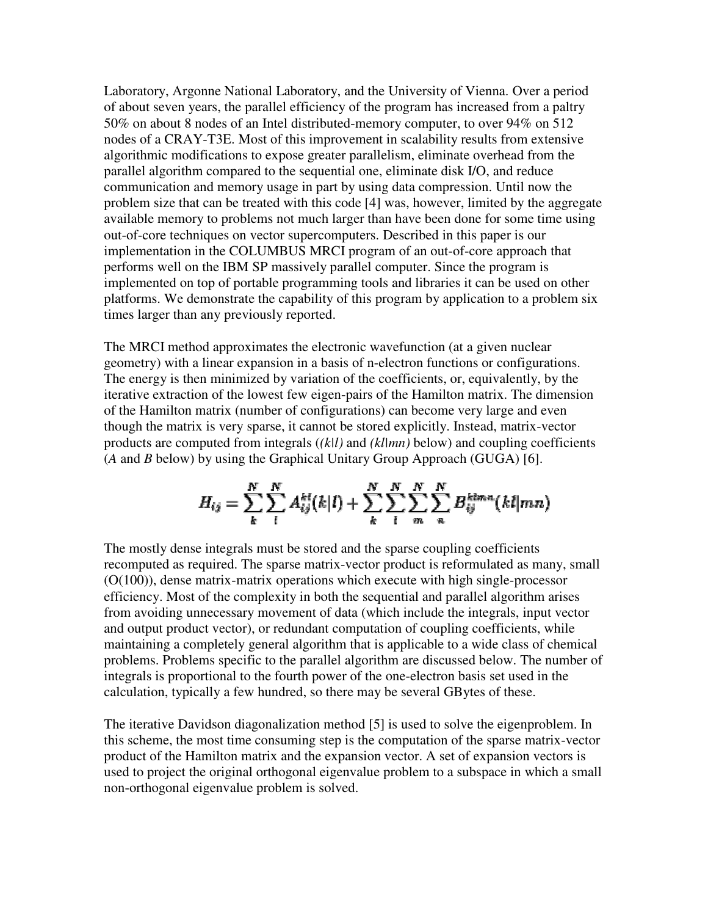Laboratory, Argonne National Laboratory, and the University of Vienna. Over a period of about seven years, the parallel efficiency of the program has increased from a paltry 50% on about 8 nodes of an Intel distributed-memory computer, to over 94% on 512 nodes of a CRAY-T3E. Most of this improvement in scalability results from extensive algorithmic modifications to expose greater parallelism, eliminate overhead from the parallel algorithm compared to the sequential one, eliminate disk I/O, and reduce communication and memory usage in part by using data compression. Until now the problem size that can be treated with this code [4] was, however, limited by the aggregate available memory to problems not much larger than have been done for some time using out-of-core techniques on vector supercomputers. Described in this paper is our implementation in the COLUMBUS MRCI program of an out-of-core approach that performs well on the IBM SP massively parallel computer. Since the program is implemented on top of portable programming tools and libraries it can be used on other platforms. We demonstrate the capability of this program by application to a problem six times larger than any previously reported.

The MRCI method approximates the electronic wavefunction (at a given nuclear geometry) with a linear expansion in a basis of n-electron functions or configurations. The energy is then minimized by variation of the coefficients, or, equivalently, by the iterative extraction of the lowest few eigen-pairs of the Hamilton matrix. The dimension of the Hamilton matrix (number of configurations) can become very large and even though the matrix is very sparse, it cannot be stored explicitly. Instead, matrix-vector products are computed from integrals (*(k|l)* and *(kl|mn)* below) and coupling coefficients (*A* and *B* below) by using the Graphical Unitary Group Approach (GUGA) [6].

$$
H_{ij} = \sum_{k}^{N} \sum_{l}^{N} A_{ij}^{kl}(k|l) + \sum_{k}^{N} \sum_{l}^{N} \sum_{m}^{N} \sum_{n}^{N} B_{ij}^{klmn}(kl|mn)
$$

The mostly dense integrals must be stored and the sparse coupling coefficients recomputed as required. The sparse matrix-vector product is reformulated as many, small (O(100)), dense matrix-matrix operations which execute with high single-processor efficiency. Most of the complexity in both the sequential and parallel algorithm arises from avoiding unnecessary movement of data (which include the integrals, input vector and output product vector), or redundant computation of coupling coefficients, while maintaining a completely general algorithm that is applicable to a wide class of chemical problems. Problems specific to the parallel algorithm are discussed below. The number of integrals is proportional to the fourth power of the one-electron basis set used in the calculation, typically a few hundred, so there may be several GBytes of these.

The iterative Davidson diagonalization method [5] is used to solve the eigenproblem. In this scheme, the most time consuming step is the computation of the sparse matrix-vector product of the Hamilton matrix and the expansion vector. A set of expansion vectors is used to project the original orthogonal eigenvalue problem to a subspace in which a small non-orthogonal eigenvalue problem is solved.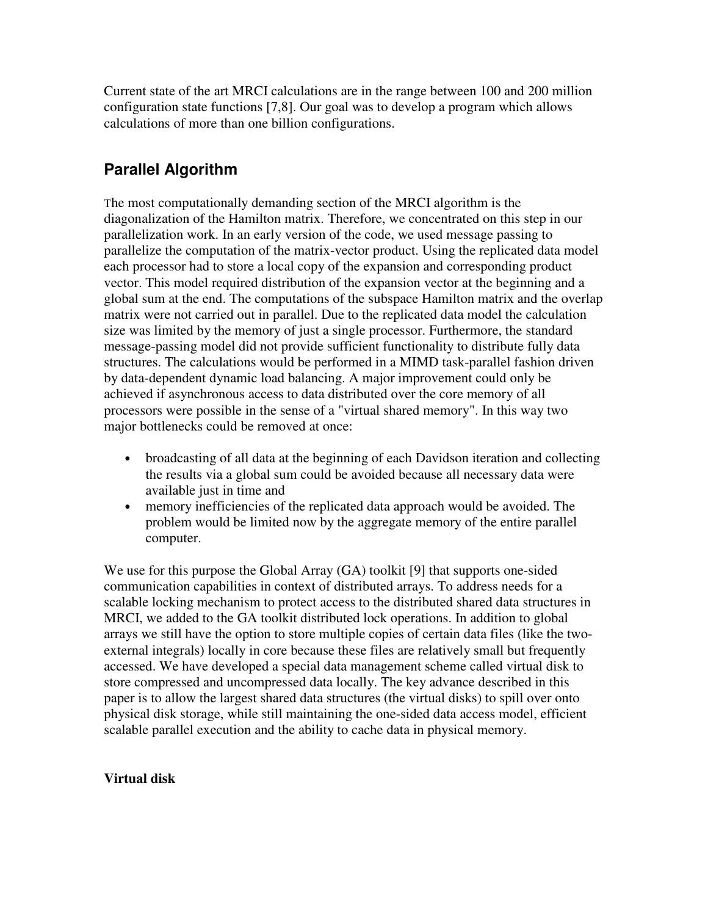Current state of the art MRCI calculations are in the range between 100 and 200 million configuration state functions [7,8]. Our goal was to develop a program which allows calculations of more than one billion configurations.

# **Parallel Algorithm**

The most computationally demanding section of the MRCI algorithm is the diagonalization of the Hamilton matrix. Therefore, we concentrated on this step in our parallelization work. In an early version of the code, we used message passing to parallelize the computation of the matrix-vector product. Using the replicated data model each processor had to store a local copy of the expansion and corresponding product vector. This model required distribution of the expansion vector at the beginning and a global sum at the end. The computations of the subspace Hamilton matrix and the overlap matrix were not carried out in parallel. Due to the replicated data model the calculation size was limited by the memory of just a single processor. Furthermore, the standard message-passing model did not provide sufficient functionality to distribute fully data structures. The calculations would be performed in a MIMD task-parallel fashion driven by data-dependent dynamic load balancing. A major improvement could only be achieved if asynchronous access to data distributed over the core memory of all processors were possible in the sense of a "virtual shared memory". In this way two major bottlenecks could be removed at once:

- broadcasting of all data at the beginning of each Davidson iteration and collecting the results via a global sum could be avoided because all necessary data were available just in time and
- memory inefficiencies of the replicated data approach would be avoided. The problem would be limited now by the aggregate memory of the entire parallel computer.

We use for this purpose the Global Array (GA) toolkit [9] that supports one-sided communication capabilities in context of distributed arrays. To address needs for a scalable locking mechanism to protect access to the distributed shared data structures in MRCI, we added to the GA toolkit distributed lock operations. In addition to global arrays we still have the option to store multiple copies of certain data files (like the twoexternal integrals) locally in core because these files are relatively small but frequently accessed. We have developed a special data management scheme called virtual disk to store compressed and uncompressed data locally. The key advance described in this paper is to allow the largest shared data structures (the virtual disks) to spill over onto physical disk storage, while still maintaining the one-sided data access model, efficient scalable parallel execution and the ability to cache data in physical memory.

### **Virtual disk**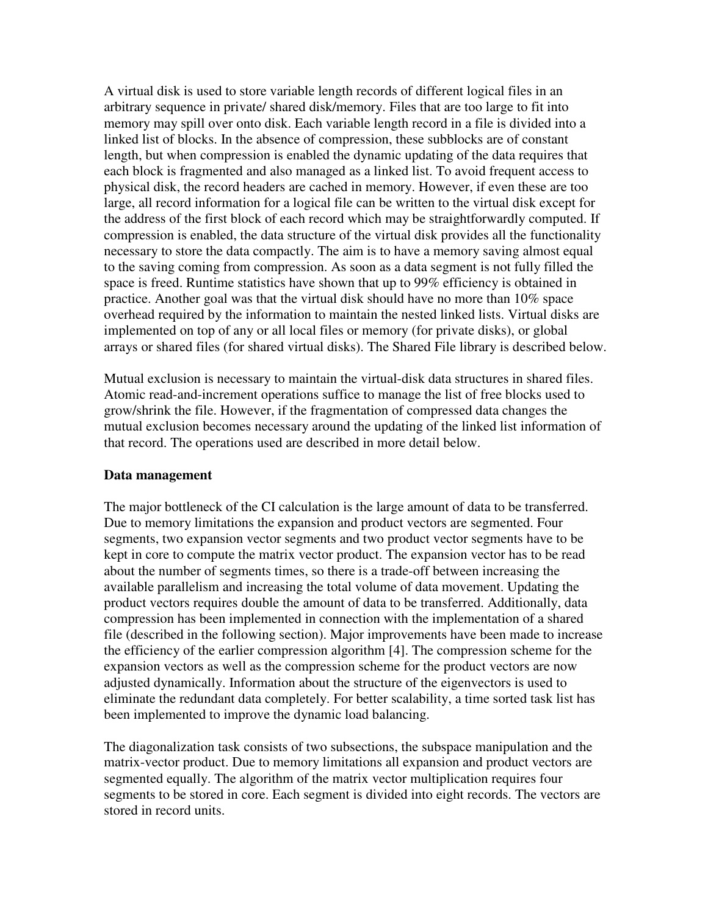A virtual disk is used to store variable length records of different logical files in an arbitrary sequence in private/ shared disk/memory. Files that are too large to fit into memory may spill over onto disk. Each variable length record in a file is divided into a linked list of blocks. In the absence of compression, these subblocks are of constant length, but when compression is enabled the dynamic updating of the data requires that each block is fragmented and also managed as a linked list. To avoid frequent access to physical disk, the record headers are cached in memory. However, if even these are too large, all record information for a logical file can be written to the virtual disk except for the address of the first block of each record which may be straightforwardly computed. If compression is enabled, the data structure of the virtual disk provides all the functionality necessary to store the data compactly. The aim is to have a memory saving almost equal to the saving coming from compression. As soon as a data segment is not fully filled the space is freed. Runtime statistics have shown that up to 99% efficiency is obtained in practice. Another goal was that the virtual disk should have no more than 10% space overhead required by the information to maintain the nested linked lists. Virtual disks are implemented on top of any or all local files or memory (for private disks), or global arrays or shared files (for shared virtual disks). The Shared File library is described below.

Mutual exclusion is necessary to maintain the virtual-disk data structures in shared files. Atomic read-and-increment operations suffice to manage the list of free blocks used to grow/shrink the file. However, if the fragmentation of compressed data changes the mutual exclusion becomes necessary around the updating of the linked list information of that record. The operations used are described in more detail below.

#### **Data management**

The major bottleneck of the CI calculation is the large amount of data to be transferred. Due to memory limitations the expansion and product vectors are segmented. Four segments, two expansion vector segments and two product vector segments have to be kept in core to compute the matrix vector product. The expansion vector has to be read about the number of segments times, so there is a trade-off between increasing the available parallelism and increasing the total volume of data movement. Updating the product vectors requires double the amount of data to be transferred. Additionally, data compression has been implemented in connection with the implementation of a shared file (described in the following section). Major improvements have been made to increase the efficiency of the earlier compression algorithm [4]. The compression scheme for the expansion vectors as well as the compression scheme for the product vectors are now adjusted dynamically. Information about the structure of the eigenvectors is used to eliminate the redundant data completely. For better scalability, a time sorted task list has been implemented to improve the dynamic load balancing.

The diagonalization task consists of two subsections, the subspace manipulation and the matrix-vector product. Due to memory limitations all expansion and product vectors are segmented equally. The algorithm of the matrix vector multiplication requires four segments to be stored in core. Each segment is divided into eight records. The vectors are stored in record units.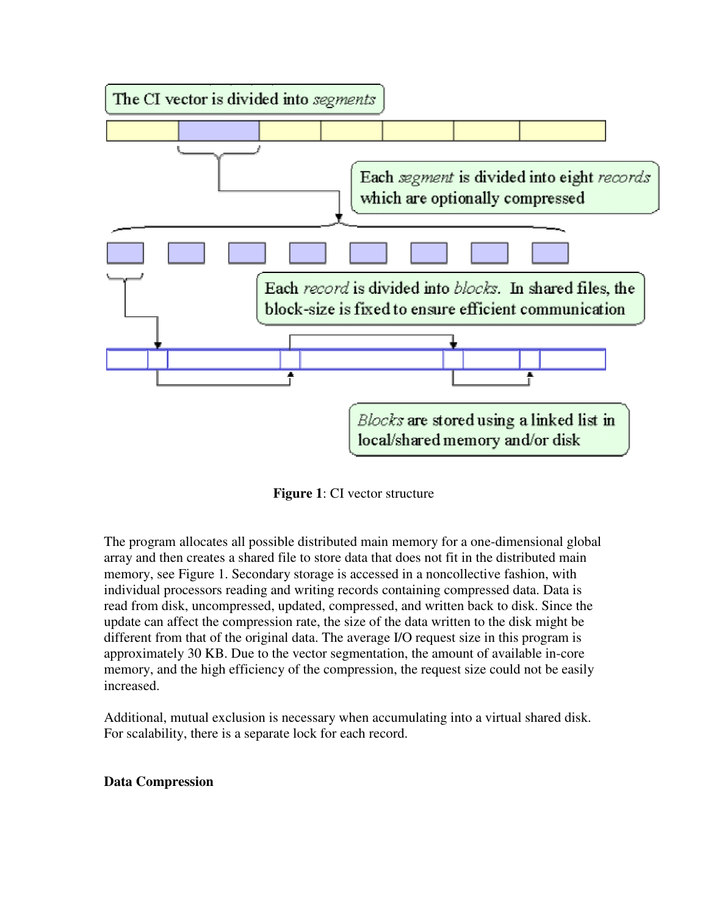

**Figure 1**: CI vector structure

The program allocates all possible distributed main memory for a one-dimensional global array and then creates a shared file to store data that does not fit in the distributed main memory, see Figure 1. Secondary storage is accessed in a noncollective fashion, with individual processors reading and writing records containing compressed data. Data is read from disk, uncompressed, updated, compressed, and written back to disk. Since the update can affect the compression rate, the size of the data written to the disk might be different from that of the original data. The average I/O request size in this program is approximately 30 KB. Due to the vector segmentation, the amount of available in-core memory, and the high efficiency of the compression, the request size could not be easily increased.

Additional, mutual exclusion is necessary when accumulating into a virtual shared disk. For scalability, there is a separate lock for each record.

### **Data Compression**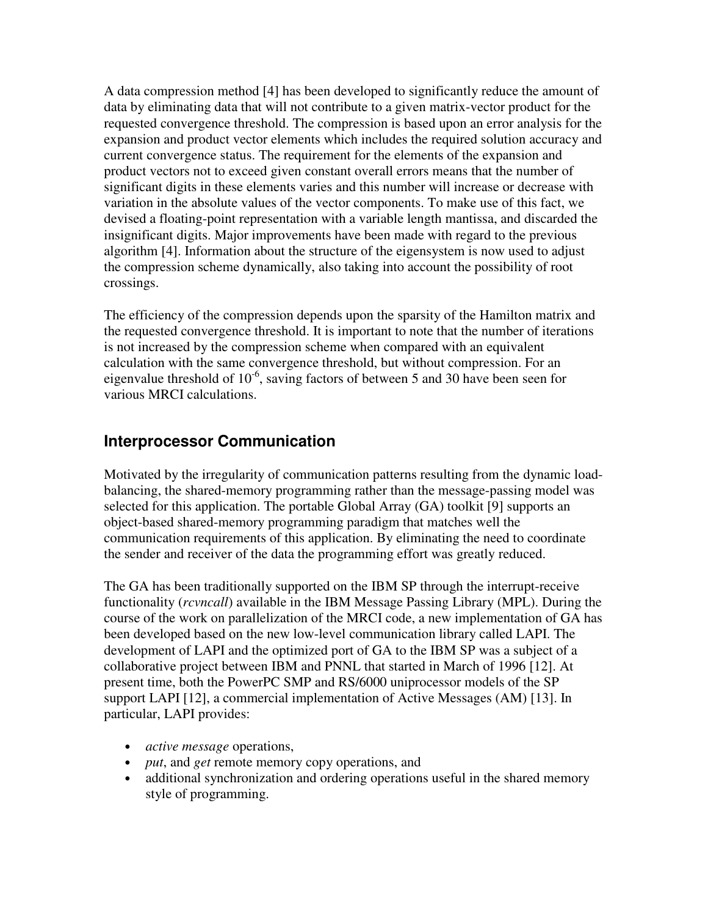A data compression method [4] has been developed to significantly reduce the amount of data by eliminating data that will not contribute to a given matrix-vector product for the requested convergence threshold. The compression is based upon an error analysis for the expansion and product vector elements which includes the required solution accuracy and current convergence status. The requirement for the elements of the expansion and product vectors not to exceed given constant overall errors means that the number of significant digits in these elements varies and this number will increase or decrease with variation in the absolute values of the vector components. To make use of this fact, we devised a floating-point representation with a variable length mantissa, and discarded the insignificant digits. Major improvements have been made with regard to the previous algorithm [4]. Information about the structure of the eigensystem is now used to adjust the compression scheme dynamically, also taking into account the possibility of root crossings.

The efficiency of the compression depends upon the sparsity of the Hamilton matrix and the requested convergence threshold. It is important to note that the number of iterations is not increased by the compression scheme when compared with an equivalent calculation with the same convergence threshold, but without compression. For an eigenvalue threshold of  $10^{-6}$ , saving factors of between 5 and 30 have been seen for various MRCI calculations.

### **Interprocessor Communication**

Motivated by the irregularity of communication patterns resulting from the dynamic loadbalancing, the shared-memory programming rather than the message-passing model was selected for this application. The portable Global Array (GA) toolkit [9] supports an object-based shared-memory programming paradigm that matches well the communication requirements of this application. By eliminating the need to coordinate the sender and receiver of the data the programming effort was greatly reduced.

The GA has been traditionally supported on the IBM SP through the interrupt-receive functionality (*rcvncall*) available in the IBM Message Passing Library (MPL). During the course of the work on parallelization of the MRCI code, a new implementation of GA has been developed based on the new low-level communication library called LAPI. The development of LAPI and the optimized port of GA to the IBM SP was a subject of a collaborative project between IBM and PNNL that started in March of 1996 [12]. At present time, both the PowerPC SMP and RS/6000 uniprocessor models of the SP support LAPI [12], a commercial implementation of Active Messages (AM) [13]. In particular, LAPI provides:

- *active message* operations,
- *put*, and *get* remote memory copy operations, and
- additional synchronization and ordering operations useful in the shared memory style of programming.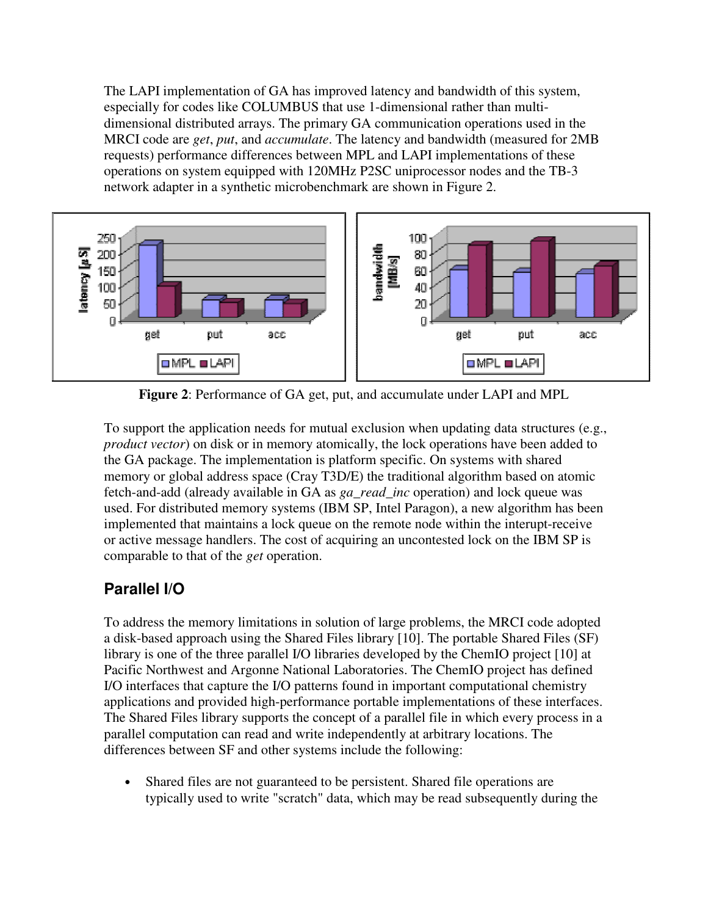The LAPI implementation of GA has improved latency and bandwidth of this system, especially for codes like COLUMBUS that use 1-dimensional rather than multidimensional distributed arrays. The primary GA communication operations used in the MRCI code are *get*, *put*, and *accumulate*. The latency and bandwidth (measured for 2MB requests) performance differences between MPL and LAPI implementations of these operations on system equipped with 120MHz P2SC uniprocessor nodes and the TB-3 network adapter in a synthetic microbenchmark are shown in Figure 2.



**Figure 2**: Performance of GA get, put, and accumulate under LAPI and MPL

To support the application needs for mutual exclusion when updating data structures (e.g., *product vector*) on disk or in memory atomically, the lock operations have been added to the GA package. The implementation is platform specific. On systems with shared memory or global address space (Cray T3D/E) the traditional algorithm based on atomic fetch-and-add (already available in GA as *ga\_read\_inc* operation) and lock queue was used. For distributed memory systems (IBM SP, Intel Paragon), a new algorithm has been implemented that maintains a lock queue on the remote node within the interupt-receive or active message handlers. The cost of acquiring an uncontested lock on the IBM SP is comparable to that of the *get* operation.

# **Parallel I/O**

To address the memory limitations in solution of large problems, the MRCI code adopted a disk-based approach using the Shared Files library [10]. The portable Shared Files (SF) library is one of the three parallel I/O libraries developed by the ChemIO project [10] at Pacific Northwest and Argonne National Laboratories. The ChemIO project has defined I/O interfaces that capture the I/O patterns found in important computational chemistry applications and provided high-performance portable implementations of these interfaces. The Shared Files library supports the concept of a parallel file in which every process in a parallel computation can read and write independently at arbitrary locations. The differences between SF and other systems include the following:

• Shared files are not guaranteed to be persistent. Shared file operations are typically used to write "scratch" data, which may be read subsequently during the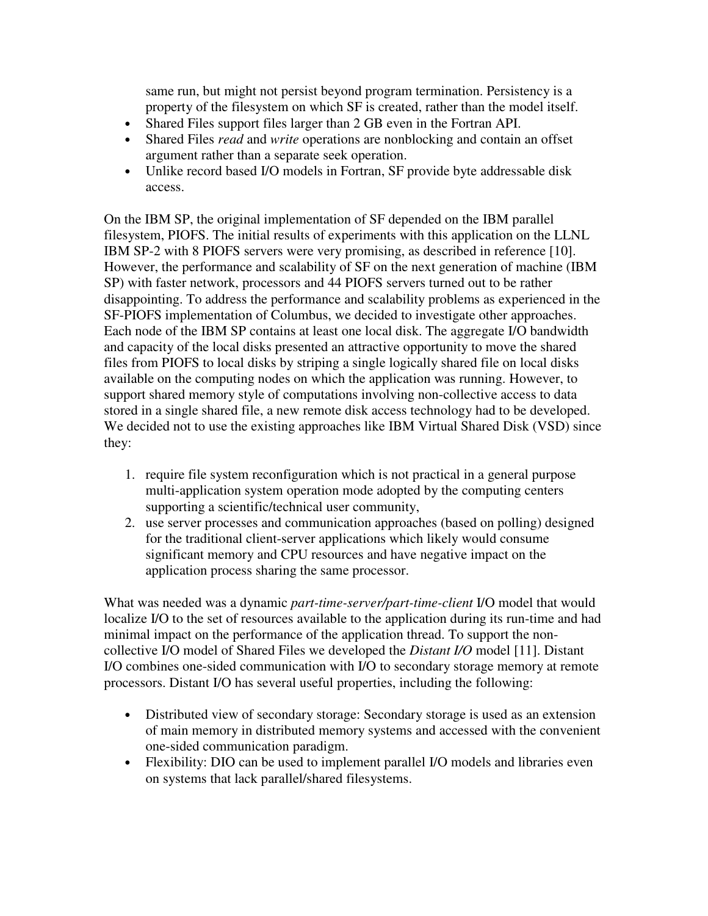same run, but might not persist beyond program termination. Persistency is a property of the filesystem on which SF is created, rather than the model itself.

- Shared Files support files larger than 2 GB even in the Fortran API.
- Shared Files *read* and *write* operations are nonblocking and contain an offset argument rather than a separate seek operation.
- Unlike record based I/O models in Fortran, SF provide byte addressable disk access.

On the IBM SP, the original implementation of SF depended on the IBM parallel filesystem, PIOFS. The initial results of experiments with this application on the LLNL IBM SP-2 with 8 PIOFS servers were very promising, as described in reference [10]. However, the performance and scalability of SF on the next generation of machine (IBM SP) with faster network, processors and 44 PIOFS servers turned out to be rather disappointing. To address the performance and scalability problems as experienced in the SF-PIOFS implementation of Columbus, we decided to investigate other approaches. Each node of the IBM SP contains at least one local disk. The aggregate I/O bandwidth and capacity of the local disks presented an attractive opportunity to move the shared files from PIOFS to local disks by striping a single logically shared file on local disks available on the computing nodes on which the application was running. However, to support shared memory style of computations involving non-collective access to data stored in a single shared file, a new remote disk access technology had to be developed. We decided not to use the existing approaches like IBM Virtual Shared Disk (VSD) since they:

- 1. require file system reconfiguration which is not practical in a general purpose multi-application system operation mode adopted by the computing centers supporting a scientific/technical user community,
- 2. use server processes and communication approaches (based on polling) designed for the traditional client-server applications which likely would consume significant memory and CPU resources and have negative impact on the application process sharing the same processor.

What was needed was a dynamic *part-time-server/part-time-client* I/O model that would localize I/O to the set of resources available to the application during its run-time and had minimal impact on the performance of the application thread. To support the noncollective I/O model of Shared Files we developed the *Distant I/O* model [11]. Distant I/O combines one-sided communication with I/O to secondary storage memory at remote processors. Distant I/O has several useful properties, including the following:

- Distributed view of secondary storage: Secondary storage is used as an extension of main memory in distributed memory systems and accessed with the convenient one-sided communication paradigm.
- Flexibility: DIO can be used to implement parallel I/O models and libraries even on systems that lack parallel/shared filesystems.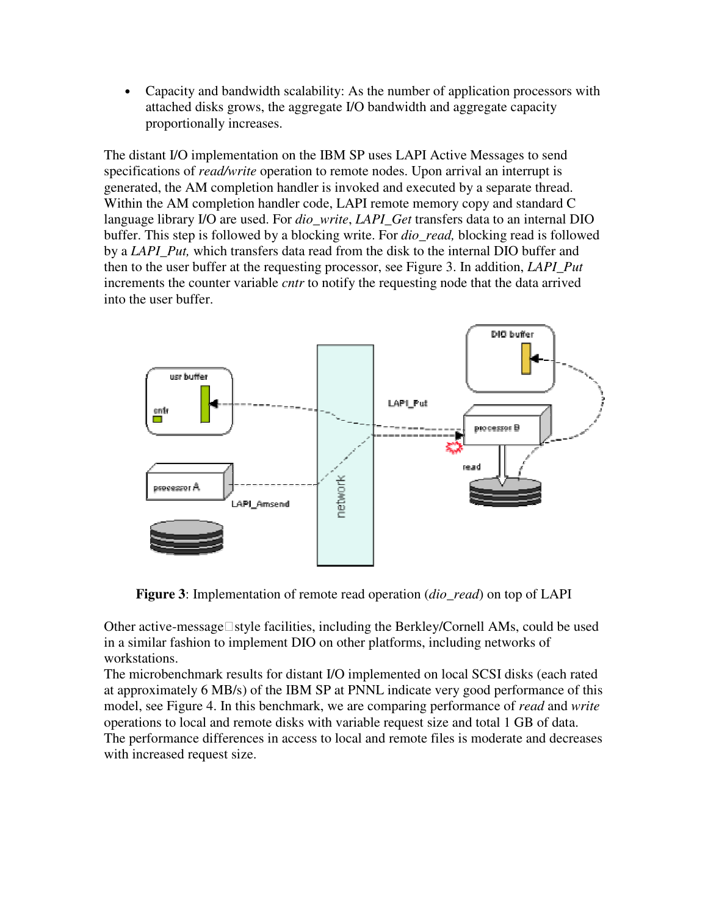• Capacity and bandwidth scalability: As the number of application processors with attached disks grows, the aggregate I/O bandwidth and aggregate capacity proportionally increases.

The distant I/O implementation on the IBM SP uses LAPI Active Messages to send specifications of *read/write* operation to remote nodes. Upon arrival an interrupt is generated, the AM completion handler is invoked and executed by a separate thread. Within the AM completion handler code, LAPI remote memory copy and standard C language library I/O are used. For *dio\_write*, *LAPI\_Get* transfers data to an internal DIO buffer. This step is followed by a blocking write. For *dio\_read,* blocking read is followed by a *LAPI\_Put,* which transfers data read from the disk to the internal DIO buffer and then to the user buffer at the requesting processor, see Figure 3. In addition, *LAPI\_Put* increments the counter variable *cntr* to notify the requesting node that the data arrived into the user buffer.



**Figure 3**: Implementation of remote read operation (*dio\_read*) on top of LAPI

Other active-message style facilities, including the Berkley/Cornell AMs, could be used in a similar fashion to implement DIO on other platforms, including networks of workstations.

The microbenchmark results for distant I/O implemented on local SCSI disks (each rated at approximately 6 MB/s) of the IBM SP at PNNL indicate very good performance of this model, see Figure 4. In this benchmark, we are comparing performance of *read* and *write* operations to local and remote disks with variable request size and total 1 GB of data. The performance differences in access to local and remote files is moderate and decreases with increased request size.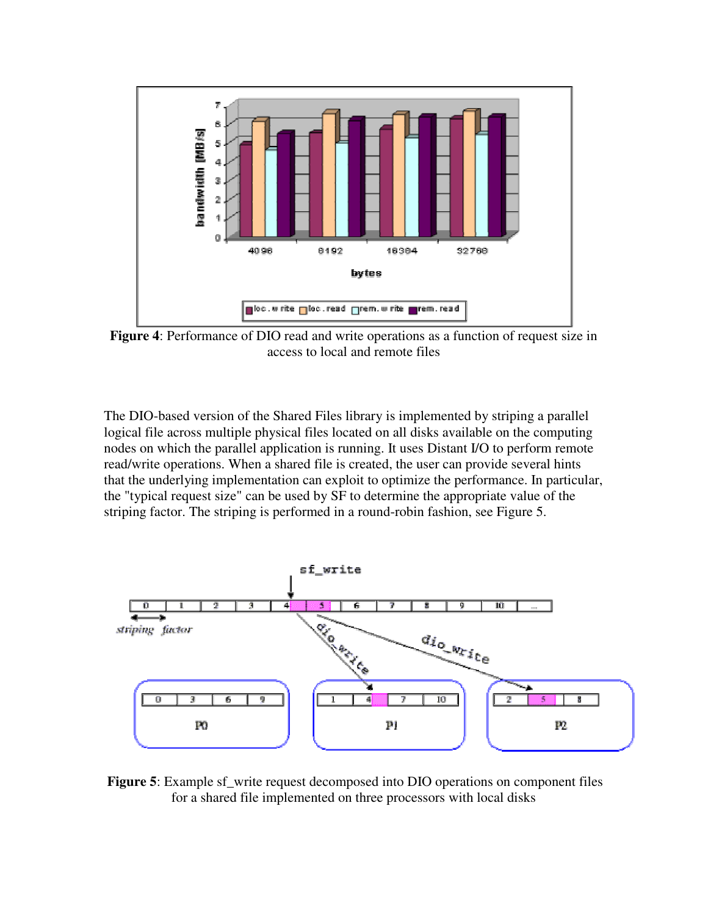

**Figure 4**: Performance of DIO read and write operations as a function of request size in access to local and remote files

The DIO-based version of the Shared Files library is implemented by striping a parallel logical file across multiple physical files located on all disks available on the computing nodes on which the parallel application is running. It uses Distant I/O to perform remote read/write operations. When a shared file is created, the user can provide several hints that the underlying implementation can exploit to optimize the performance. In particular, the "typical request size" can be used by SF to determine the appropriate value of the striping factor. The striping is performed in a round-robin fashion, see Figure 5.



**Figure 5**: Example sf\_write request decomposed into DIO operations on component files for a shared file implemented on three processors with local disks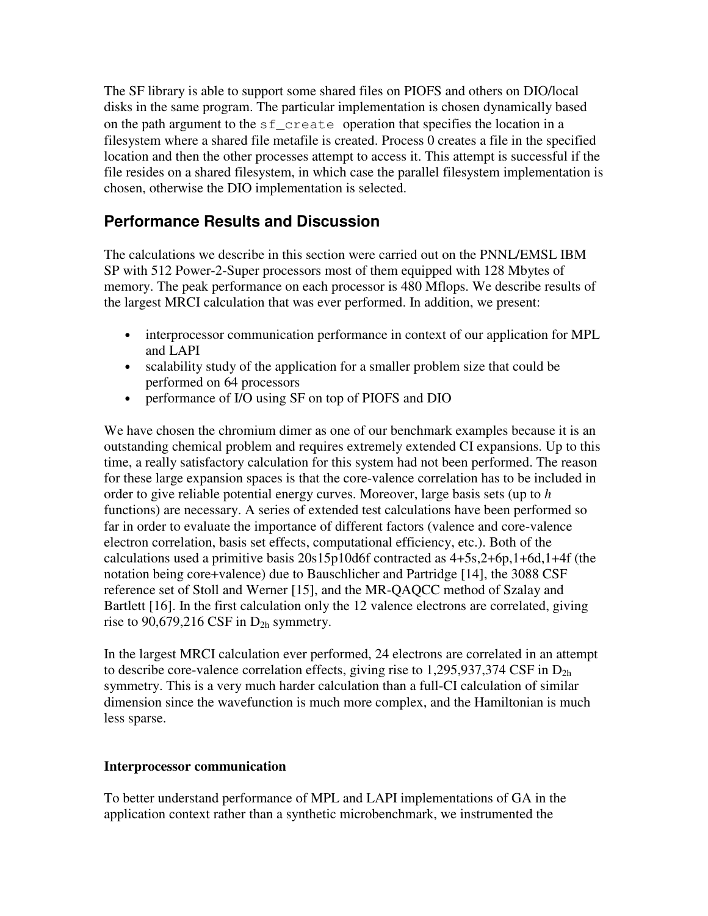The SF library is able to support some shared files on PIOFS and others on DIO/local disks in the same program. The particular implementation is chosen dynamically based on the path argument to the  $sf$  create operation that specifies the location in a filesystem where a shared file metafile is created. Process 0 creates a file in the specified location and then the other processes attempt to access it. This attempt is successful if the file resides on a shared filesystem, in which case the parallel filesystem implementation is chosen, otherwise the DIO implementation is selected.

## **Performance Results and Discussion**

The calculations we describe in this section were carried out on the PNNL/EMSL IBM SP with 512 Power-2-Super processors most of them equipped with 128 Mbytes of memory. The peak performance on each processor is 480 Mflops. We describe results of the largest MRCI calculation that was ever performed. In addition, we present:

- interprocessor communication performance in context of our application for MPL and LAPI
- scalability study of the application for a smaller problem size that could be performed on 64 processors
- performance of I/O using SF on top of PIOFS and DIO

We have chosen the chromium dimer as one of our benchmark examples because it is an outstanding chemical problem and requires extremely extended CI expansions. Up to this time, a really satisfactory calculation for this system had not been performed. The reason for these large expansion spaces is that the core-valence correlation has to be included in order to give reliable potential energy curves. Moreover, large basis sets (up to *h* functions) are necessary. A series of extended test calculations have been performed so far in order to evaluate the importance of different factors (valence and core-valence electron correlation, basis set effects, computational efficiency, etc.). Both of the calculations used a primitive basis 20s15p10d6f contracted as 4+5s,2+6p,1+6d,1+4f (the notation being core+valence) due to Bauschlicher and Partridge [14], the 3088 CSF reference set of Stoll and Werner [15], and the MR-QAQCC method of Szalay and Bartlett [16]. In the first calculation only the 12 valence electrons are correlated, giving rise to 90,679,216 CSF in  $D_{2h}$  symmetry.

In the largest MRCI calculation ever performed, 24 electrons are correlated in an attempt to describe core-valence correlation effects, giving rise to 1,295,937,374 CSF in  $D_{2h}$ symmetry. This is a very much harder calculation than a full-CI calculation of similar dimension since the wavefunction is much more complex, and the Hamiltonian is much less sparse.

### **Interprocessor communication**

To better understand performance of MPL and LAPI implementations of GA in the application context rather than a synthetic microbenchmark, we instrumented the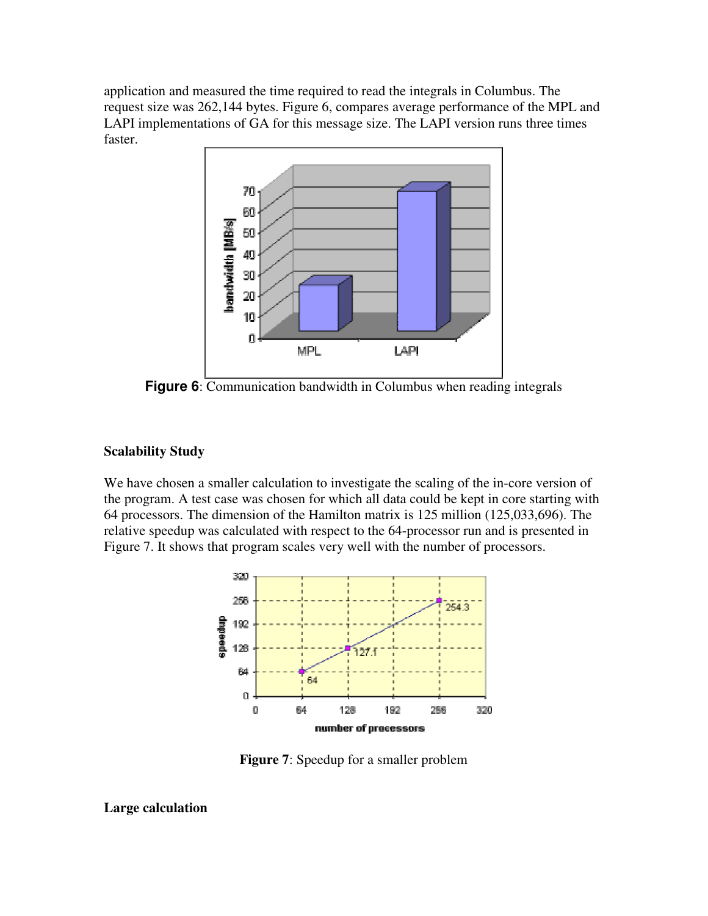application and measured the time required to read the integrals in Columbus. The request size was 262,144 bytes. Figure 6, compares average performance of the MPL and LAPI implementations of GA for this message size. The LAPI version runs three times faster.



**Figure 6**: Communication bandwidth in Columbus when reading integrals

#### **Scalability Study**

We have chosen a smaller calculation to investigate the scaling of the in-core version of the program. A test case was chosen for which all data could be kept in core starting with 64 processors. The dimension of the Hamilton matrix is 125 million (125,033,696). The relative speedup was calculated with respect to the 64-processor run and is presented in Figure 7. It shows that program scales very well with the number of processors.



**Figure 7**: Speedup for a smaller problem

**Large calculation**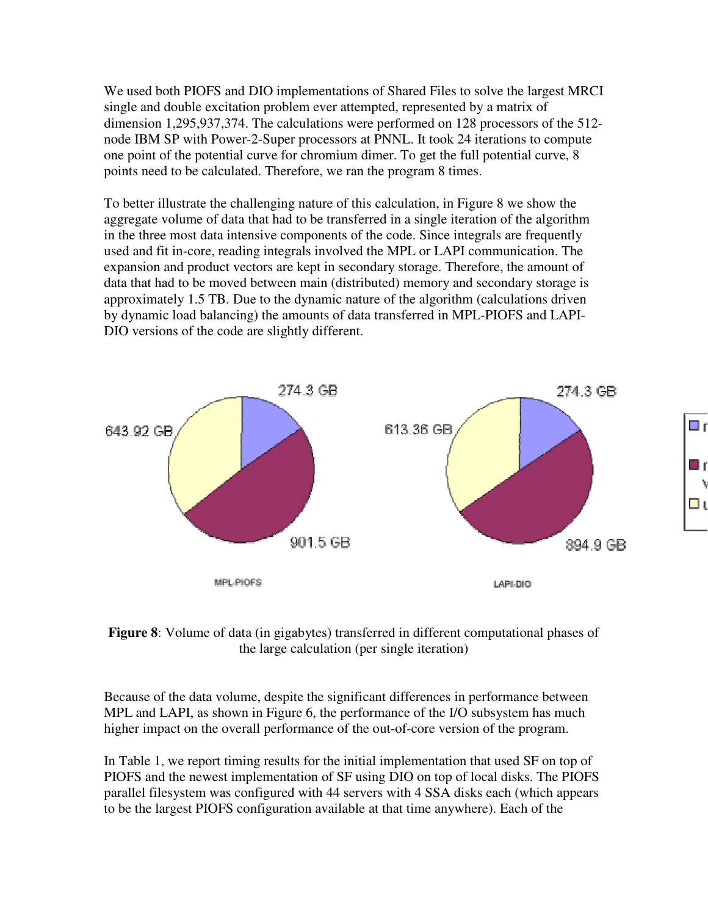We used both PIOFS and DIO implementations of Shared Files to solve the largest MRCI single and double excitation problem ever attempted, represented by a matrix of dimension 1,295,937,374. The calculations were performed on 128 processors of the 512 node IBM SP with Power-2-Super processors at PNNL. It took 24 iterations to compute one point of the potential curve for chromium dimer. To get the full potential curve, 8 points need to be calculated. Therefore, we ran the program 8 times.

To better illustrate the challenging nature of this calculation, in Figure 8 we show the aggregate volume of data that had to be transferred in a single iteration of the algorithm in the three most data intensive components of the code. Since integrals are frequently used and fit in-core, reading integrals involved the MPL or LAPI communication. The expansion and product vectors are kept in secondary storage. Therefore, the amount of data that had to be moved between main (distributed) memory and secondary storage is approximately 1.5 TB. Due to the dynamic nature of the algorithm (calculations driven by dynamic load balancing) the amounts of data transferred in MPL-PIOFS and LAPI-DIO versions of the code are slightly different.





Because of the data volume, despite the significant differences in performance between MPL and LAPI, as shown in Figure 6, the performance of the I/O subsystem has much higher impact on the overall performance of the out-of-core version of the program.

In Table 1, we report timing results for the initial implementation that used SF on top of PIOFS and the newest implementation of SF using DIO on top of local disks. The PIOFS parallel filesystem was configured with 44 servers with 4 SSA disks each (which appears to be the largest PIOFS configuration available at that time anywhere). Each of the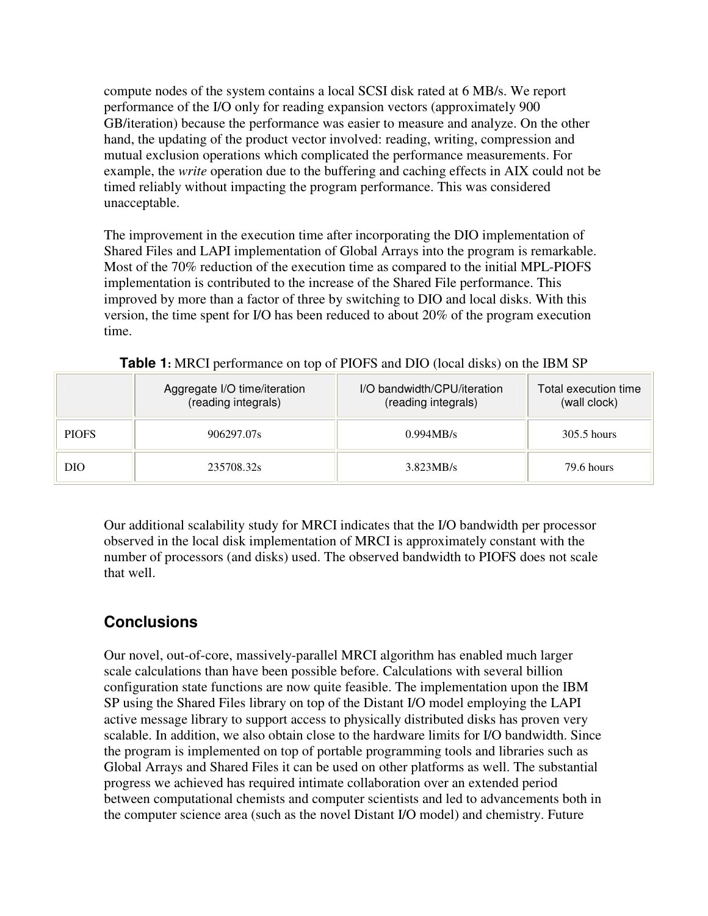compute nodes of the system contains a local SCSI disk rated at 6 MB/s. We report performance of the I/O only for reading expansion vectors (approximately 900 GB/iteration) because the performance was easier to measure and analyze. On the other hand, the updating of the product vector involved: reading, writing, compression and mutual exclusion operations which complicated the performance measurements. For example, the *write* operation due to the buffering and caching effects in AIX could not be timed reliably without impacting the program performance. This was considered unacceptable.

The improvement in the execution time after incorporating the DIO implementation of Shared Files and LAPI implementation of Global Arrays into the program is remarkable. Most of the 70% reduction of the execution time as compared to the initial MPL-PIOFS implementation is contributed to the increase of the Shared File performance. This improved by more than a factor of three by switching to DIO and local disks. With this version, the time spent for I/O has been reduced to about 20% of the program execution time.

|              | Aggregate I/O time/iteration<br>(reading integrals) | I/O bandwidth/CPU/iteration<br>(reading integrals) | Total execution time<br>(wall clock) |
|--------------|-----------------------------------------------------|----------------------------------------------------|--------------------------------------|
| <b>PIOFS</b> | 906297.07s                                          | 0.994MB/s                                          | 305.5 hours                          |
| DIO          | 235708.32s                                          | 3.823MB/s                                          | 79.6 hours                           |

**Table 1:** MRCI performance on top of PIOFS and DIO (local disks) on the IBM SP

Our additional scalability study for MRCI indicates that the I/O bandwidth per processor observed in the local disk implementation of MRCI is approximately constant with the number of processors (and disks) used. The observed bandwidth to PIOFS does not scale that well.

# **Conclusions**

Our novel, out-of-core, massively-parallel MRCI algorithm has enabled much larger scale calculations than have been possible before. Calculations with several billion configuration state functions are now quite feasible. The implementation upon the IBM SP using the Shared Files library on top of the Distant I/O model employing the LAPI active message library to support access to physically distributed disks has proven very scalable. In addition, we also obtain close to the hardware limits for I/O bandwidth. Since the program is implemented on top of portable programming tools and libraries such as Global Arrays and Shared Files it can be used on other platforms as well. The substantial progress we achieved has required intimate collaboration over an extended period between computational chemists and computer scientists and led to advancements both in the computer science area (such as the novel Distant I/O model) and chemistry. Future